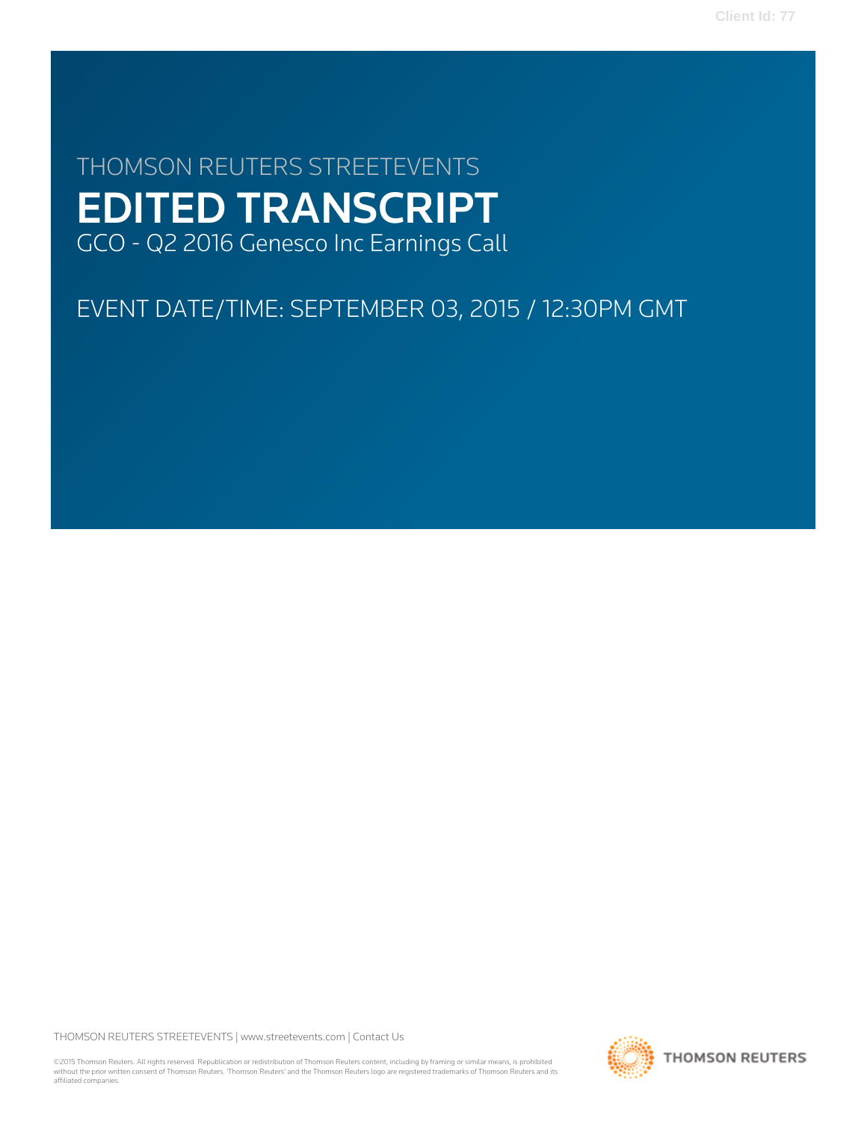# THOMSON REUTERS STREETEVENTS EDITED TRANSCRIPT GCO - Q2 2016 Genesco Inc Earnings Call

# EVENT DATE/TIME: SEPTEMBER 03, 2015 / 12:30PM GMT

THOMSON REUTERS STREETEVENTS | [www.streetevents.com](http://www.streetevents.com) | [Contact Us](http://www010.streetevents.com/contact.asp)

©2015 Thomson Reuters. All rights reserved. Republication or redistribution of Thomson Reuters content, including by framing or similar means, is prohibited without the prior written consent of Thomson Reuters. 'Thomson Reuters' and the Thomson Reuters logo are registered trademarks of Thomson Reuters and its affiliated companies.

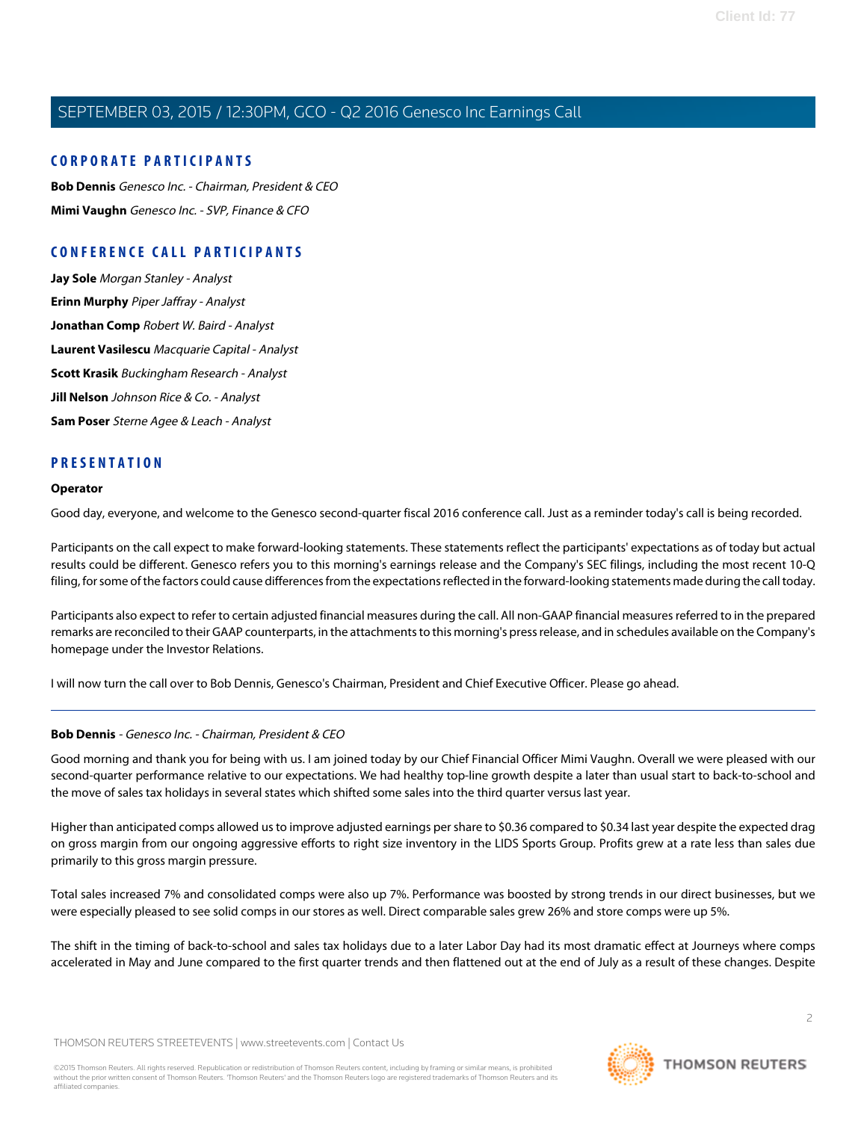## **CORPORATE PARTICIPANTS**

**[Bob Dennis](#page-1-0)** Genesco Inc. - Chairman, President & CEO **[Mimi Vaughn](#page-2-0)** Genesco Inc. - SVP, Finance & CFO

## **CONFERENCE CALL PARTICIPANTS**

**[Jay Sole](#page-6-0)** Morgan Stanley - Analyst **[Erinn Murphy](#page-8-0)** Piper Jaffray - Analyst **[Jonathan Comp](#page-10-0)** Robert W. Baird - Analyst **[Laurent Vasilescu](#page-12-0)** Macquarie Capital - Analyst **[Scott Krasik](#page-14-0)** Buckingham Research - Analyst **[Jill Nelson](#page-16-0)** Johnson Rice & Co. - Analyst **[Sam Poser](#page-17-0)** Sterne Agee & Leach - Analyst

## **PRESENTATION**

#### **Operator**

Good day, everyone, and welcome to the Genesco second-quarter fiscal 2016 conference call. Just as a reminder today's call is being recorded.

Participants on the call expect to make forward-looking statements. These statements reflect the participants' expectations as of today but actual results could be different. Genesco refers you to this morning's earnings release and the Company's SEC filings, including the most recent 10-Q filing, for some of the factors could cause differences from the expectations reflected in the forward-looking statements made during the call today.

Participants also expect to refer to certain adjusted financial measures during the call. All non-GAAP financial measures referred to in the prepared remarks are reconciled to their GAAP counterparts, in the attachments to this morning's press release, and in schedules available on the Company's homepage under the Investor Relations.

<span id="page-1-0"></span>I will now turn the call over to Bob Dennis, Genesco's Chairman, President and Chief Executive Officer. Please go ahead.

## **Bob Dennis** - Genesco Inc. - Chairman, President & CEO

Good morning and thank you for being with us. I am joined today by our Chief Financial Officer Mimi Vaughn. Overall we were pleased with our second-quarter performance relative to our expectations. We had healthy top-line growth despite a later than usual start to back-to-school and the move of sales tax holidays in several states which shifted some sales into the third quarter versus last year.

Higher than anticipated comps allowed us to improve adjusted earnings per share to \$0.36 compared to \$0.34 last year despite the expected drag on gross margin from our ongoing aggressive efforts to right size inventory in the LIDS Sports Group. Profits grew at a rate less than sales due primarily to this gross margin pressure.

Total sales increased 7% and consolidated comps were also up 7%. Performance was boosted by strong trends in our direct businesses, but we were especially pleased to see solid comps in our stores as well. Direct comparable sales grew 26% and store comps were up 5%.

The shift in the timing of back-to-school and sales tax holidays due to a later Labor Day had its most dramatic effect at Journeys where comps accelerated in May and June compared to the first quarter trends and then flattened out at the end of July as a result of these changes. Despite

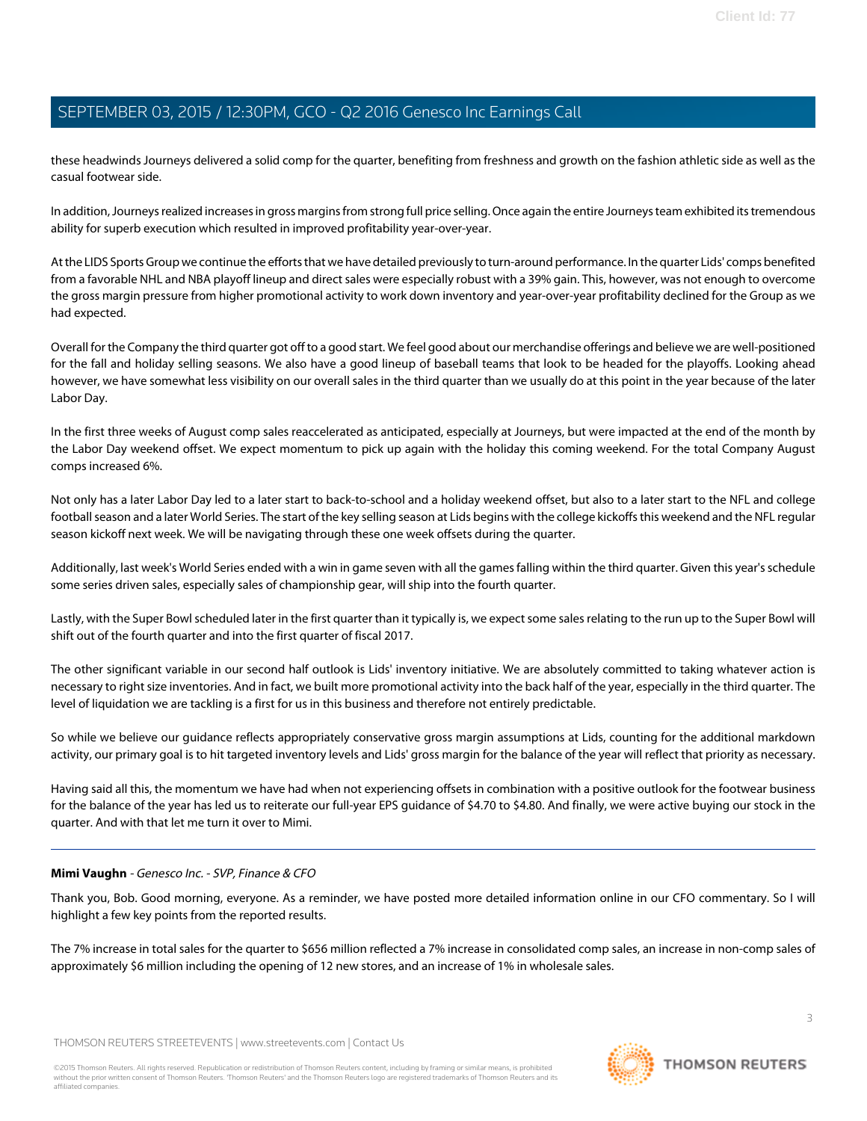these headwinds Journeys delivered a solid comp for the quarter, benefiting from freshness and growth on the fashion athletic side as well as the casual footwear side.

In addition, Journeys realized increases in gross margins from strong full price selling. Once again the entire Journeys team exhibited its tremendous ability for superb execution which resulted in improved profitability year-over-year.

At the LIDS Sports Group we continue the efforts that we have detailed previously to turn-around performance. In the quarter Lids' comps benefited from a favorable NHL and NBA playoff lineup and direct sales were especially robust with a 39% gain. This, however, was not enough to overcome the gross margin pressure from higher promotional activity to work down inventory and year-over-year profitability declined for the Group as we had expected.

Overall for the Company the third quarter got off to a good start. We feel good about our merchandise offerings and believe we are well-positioned for the fall and holiday selling seasons. We also have a good lineup of baseball teams that look to be headed for the playoffs. Looking ahead however, we have somewhat less visibility on our overall sales in the third quarter than we usually do at this point in the year because of the later Labor Day.

In the first three weeks of August comp sales reaccelerated as anticipated, especially at Journeys, but were impacted at the end of the month by the Labor Day weekend offset. We expect momentum to pick up again with the holiday this coming weekend. For the total Company August comps increased 6%.

Not only has a later Labor Day led to a later start to back-to-school and a holiday weekend offset, but also to a later start to the NFL and college football season and a later World Series. The start of the key selling season at Lids begins with the college kickoffs this weekend and the NFL regular season kickoff next week. We will be navigating through these one week offsets during the quarter.

Additionally, last week's World Series ended with a win in game seven with all the games falling within the third quarter. Given this year's schedule some series driven sales, especially sales of championship gear, will ship into the fourth quarter.

Lastly, with the Super Bowl scheduled later in the first quarter than it typically is, we expect some sales relating to the run up to the Super Bowl will shift out of the fourth quarter and into the first quarter of fiscal 2017.

The other significant variable in our second half outlook is Lids' inventory initiative. We are absolutely committed to taking whatever action is necessary to right size inventories. And in fact, we built more promotional activity into the back half of the year, especially in the third quarter. The level of liquidation we are tackling is a first for us in this business and therefore not entirely predictable.

So while we believe our guidance reflects appropriately conservative gross margin assumptions at Lids, counting for the additional markdown activity, our primary goal is to hit targeted inventory levels and Lids' gross margin for the balance of the year will reflect that priority as necessary.

<span id="page-2-0"></span>Having said all this, the momentum we have had when not experiencing offsets in combination with a positive outlook for the footwear business for the balance of the year has led us to reiterate our full-year EPS guidance of \$4.70 to \$4.80. And finally, we were active buying our stock in the quarter. And with that let me turn it over to Mimi.

## **Mimi Vaughn** - Genesco Inc. - SVP, Finance & CFO

Thank you, Bob. Good morning, everyone. As a reminder, we have posted more detailed information online in our CFO commentary. So I will highlight a few key points from the reported results.

The 7% increase in total sales for the quarter to \$656 million reflected a 7% increase in consolidated comp sales, an increase in non-comp sales of approximately \$6 million including the opening of 12 new stores, and an increase of 1% in wholesale sales.

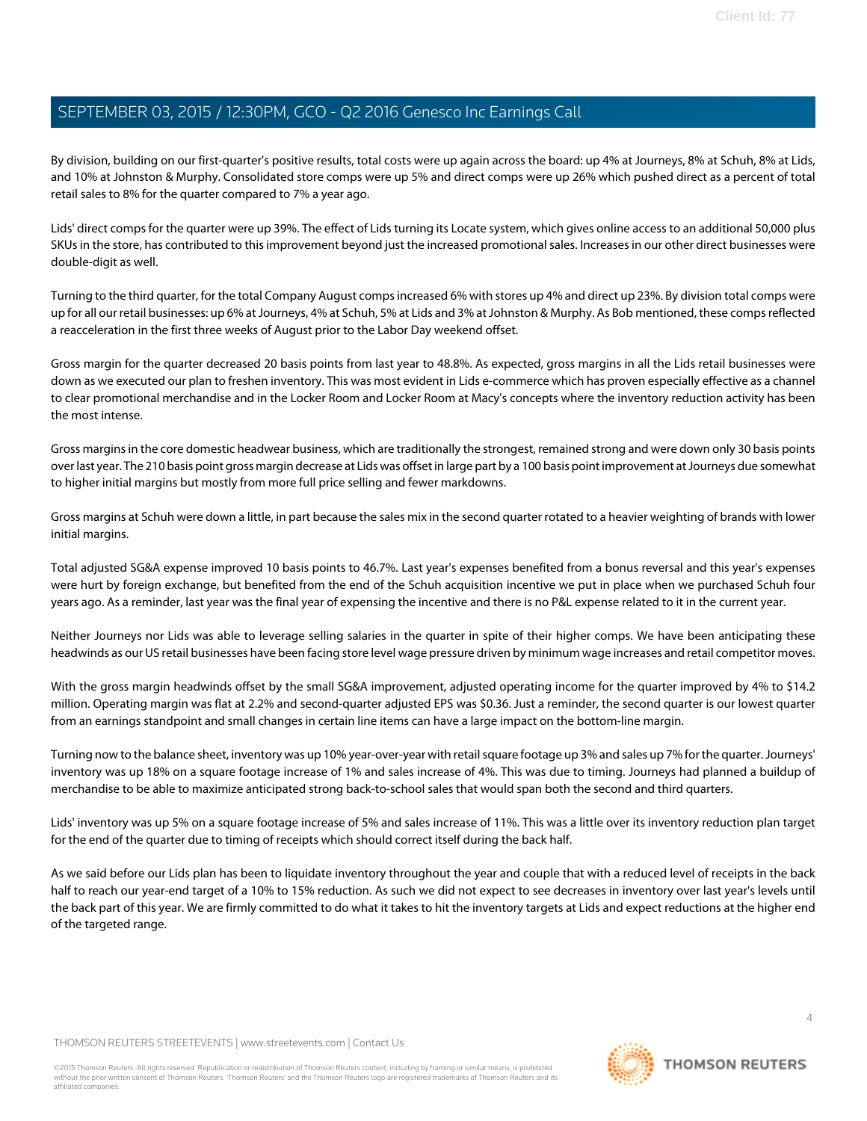By division, building on our first-quarter's positive results, total costs were up again across the board: up 4% at Journeys, 8% at Schuh, 8% at Lids, and 10% at Johnston & Murphy. Consolidated store comps were up 5% and direct comps were up 26% which pushed direct as a percent of total retail sales to 8% for the quarter compared to 7% a year ago.

Lids' direct comps for the quarter were up 39%. The effect of Lids turning its Locate system, which gives online access to an additional 50,000 plus SKUs in the store, has contributed to this improvement beyond just the increased promotional sales. Increases in our other direct businesses were double-digit as well.

Turning to the third quarter, for the total Company August comps increased 6% with stores up 4% and direct up 23%. By division total comps were up for all our retail businesses: up 6% at Journeys, 4% at Schuh, 5% at Lids and 3% at Johnston & Murphy. As Bob mentioned, these comps reflected a reacceleration in the first three weeks of August prior to the Labor Day weekend offset.

Gross margin for the quarter decreased 20 basis points from last year to 48.8%. As expected, gross margins in all the Lids retail businesses were down as we executed our plan to freshen inventory. This was most evident in Lids e-commerce which has proven especially effective as a channel to clear promotional merchandise and in the Locker Room and Locker Room at Macy's concepts where the inventory reduction activity has been the most intense.

Gross margins in the core domestic headwear business, which are traditionally the strongest, remained strong and were down only 30 basis points over last year. The 210 basis point gross margin decrease at Lids was offset in large part by a 100 basis point improvement at Journeys due somewhat to higher initial margins but mostly from more full price selling and fewer markdowns.

Gross margins at Schuh were down a little, in part because the sales mix in the second quarter rotated to a heavier weighting of brands with lower initial margins.

Total adjusted SG&A expense improved 10 basis points to 46.7%. Last year's expenses benefited from a bonus reversal and this year's expenses were hurt by foreign exchange, but benefited from the end of the Schuh acquisition incentive we put in place when we purchased Schuh four years ago. As a reminder, last year was the final year of expensing the incentive and there is no P&L expense related to it in the current year.

Neither Journeys nor Lids was able to leverage selling salaries in the quarter in spite of their higher comps. We have been anticipating these headwinds as our US retail businesses have been facing store level wage pressure driven by minimum wage increases and retail competitor moves.

With the gross margin headwinds offset by the small SG&A improvement, adjusted operating income for the quarter improved by 4% to \$14.2 million. Operating margin was flat at 2.2% and second-quarter adjusted EPS was \$0.36. Just a reminder, the second quarter is our lowest quarter from an earnings standpoint and small changes in certain line items can have a large impact on the bottom-line margin.

Turning now to the balance sheet, inventory was up 10% year-over-year with retail square footage up 3% and sales up 7% for the quarter. Journeys' inventory was up 18% on a square footage increase of 1% and sales increase of 4%. This was due to timing. Journeys had planned a buildup of merchandise to be able to maximize anticipated strong back-to-school sales that would span both the second and third quarters.

Lids' inventory was up 5% on a square footage increase of 5% and sales increase of 11%. This was a little over its inventory reduction plan target for the end of the quarter due to timing of receipts which should correct itself during the back half.

As we said before our Lids plan has been to liquidate inventory throughout the year and couple that with a reduced level of receipts in the back half to reach our year-end target of a 10% to 15% reduction. As such we did not expect to see decreases in inventory over last year's levels until the back part of this year. We are firmly committed to do what it takes to hit the inventory targets at Lids and expect reductions at the higher end of the targeted range.

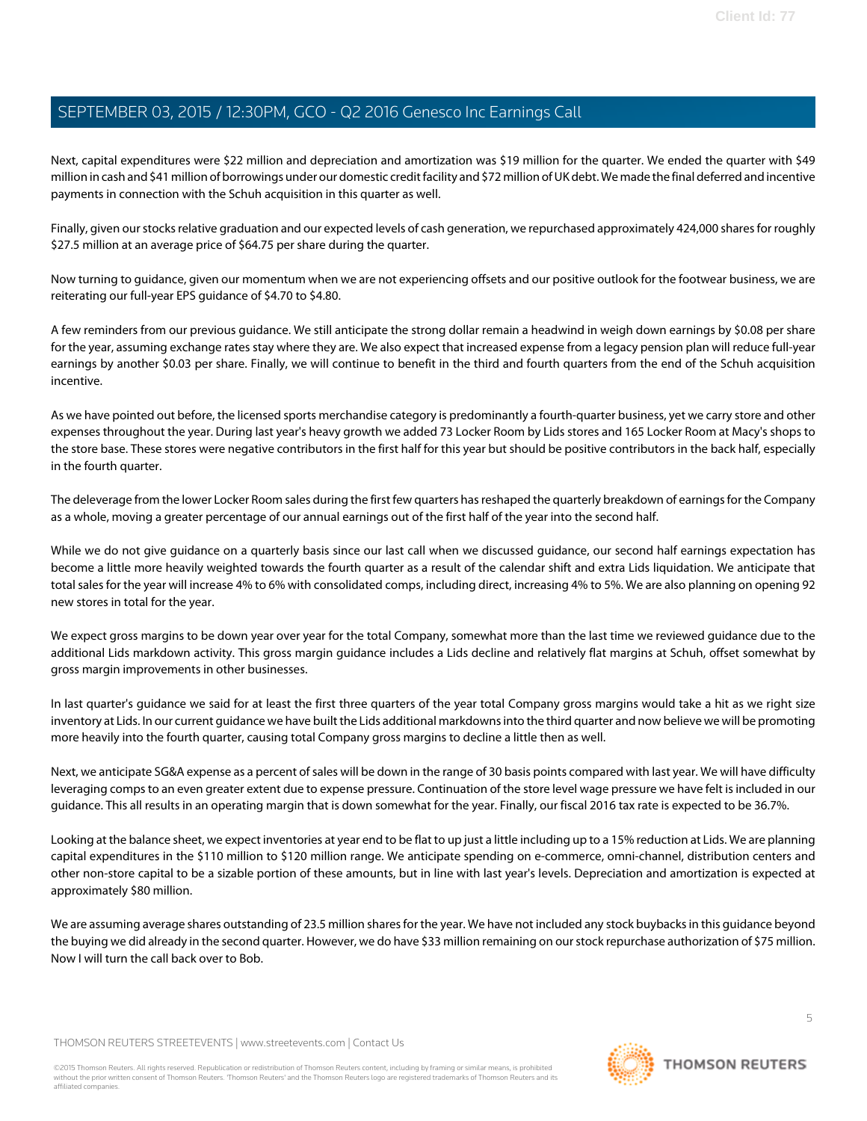Next, capital expenditures were \$22 million and depreciation and amortization was \$19 million for the quarter. We ended the quarter with \$49 million in cash and \$41 million of borrowings under our domestic credit facility and \$72 million of UK debt. We made the final deferred and incentive payments in connection with the Schuh acquisition in this quarter as well.

Finally, given our stocks relative graduation and our expected levels of cash generation, we repurchased approximately 424,000 shares for roughly \$27.5 million at an average price of \$64.75 per share during the quarter.

Now turning to guidance, given our momentum when we are not experiencing offsets and our positive outlook for the footwear business, we are reiterating our full-year EPS guidance of \$4.70 to \$4.80.

A few reminders from our previous guidance. We still anticipate the strong dollar remain a headwind in weigh down earnings by \$0.08 per share for the year, assuming exchange rates stay where they are. We also expect that increased expense from a legacy pension plan will reduce full-year earnings by another \$0.03 per share. Finally, we will continue to benefit in the third and fourth quarters from the end of the Schuh acquisition incentive.

As we have pointed out before, the licensed sports merchandise category is predominantly a fourth-quarter business, yet we carry store and other expenses throughout the year. During last year's heavy growth we added 73 Locker Room by Lids stores and 165 Locker Room at Macy's shops to the store base. These stores were negative contributors in the first half for this year but should be positive contributors in the back half, especially in the fourth quarter.

The deleverage from the lower Locker Room sales during the first few quarters has reshaped the quarterly breakdown of earnings for the Company as a whole, moving a greater percentage of our annual earnings out of the first half of the year into the second half.

While we do not give guidance on a quarterly basis since our last call when we discussed guidance, our second half earnings expectation has become a little more heavily weighted towards the fourth quarter as a result of the calendar shift and extra Lids liquidation. We anticipate that total sales for the year will increase 4% to 6% with consolidated comps, including direct, increasing 4% to 5%. We are also planning on opening 92 new stores in total for the year.

We expect gross margins to be down year over year for the total Company, somewhat more than the last time we reviewed guidance due to the additional Lids markdown activity. This gross margin guidance includes a Lids decline and relatively flat margins at Schuh, offset somewhat by gross margin improvements in other businesses.

In last quarter's guidance we said for at least the first three quarters of the year total Company gross margins would take a hit as we right size inventory at Lids. In our current guidance we have built the Lids additional markdowns into the third quarter and now believe we will be promoting more heavily into the fourth quarter, causing total Company gross margins to decline a little then as well.

Next, we anticipate SG&A expense as a percent of sales will be down in the range of 30 basis points compared with last year. We will have difficulty leveraging comps to an even greater extent due to expense pressure. Continuation of the store level wage pressure we have felt is included in our guidance. This all results in an operating margin that is down somewhat for the year. Finally, our fiscal 2016 tax rate is expected to be 36.7%.

Looking at the balance sheet, we expect inventories at year end to be flat to up just a little including up to a 15% reduction at Lids. We are planning capital expenditures in the \$110 million to \$120 million range. We anticipate spending on e-commerce, omni-channel, distribution centers and other non-store capital to be a sizable portion of these amounts, but in line with last year's levels. Depreciation and amortization is expected at approximately \$80 million.

We are assuming average shares outstanding of 23.5 million shares for the year. We have not included any stock buybacks in this guidance beyond the buying we did already in the second quarter. However, we do have \$33 million remaining on our stock repurchase authorization of \$75 million. Now I will turn the call back over to Bob.

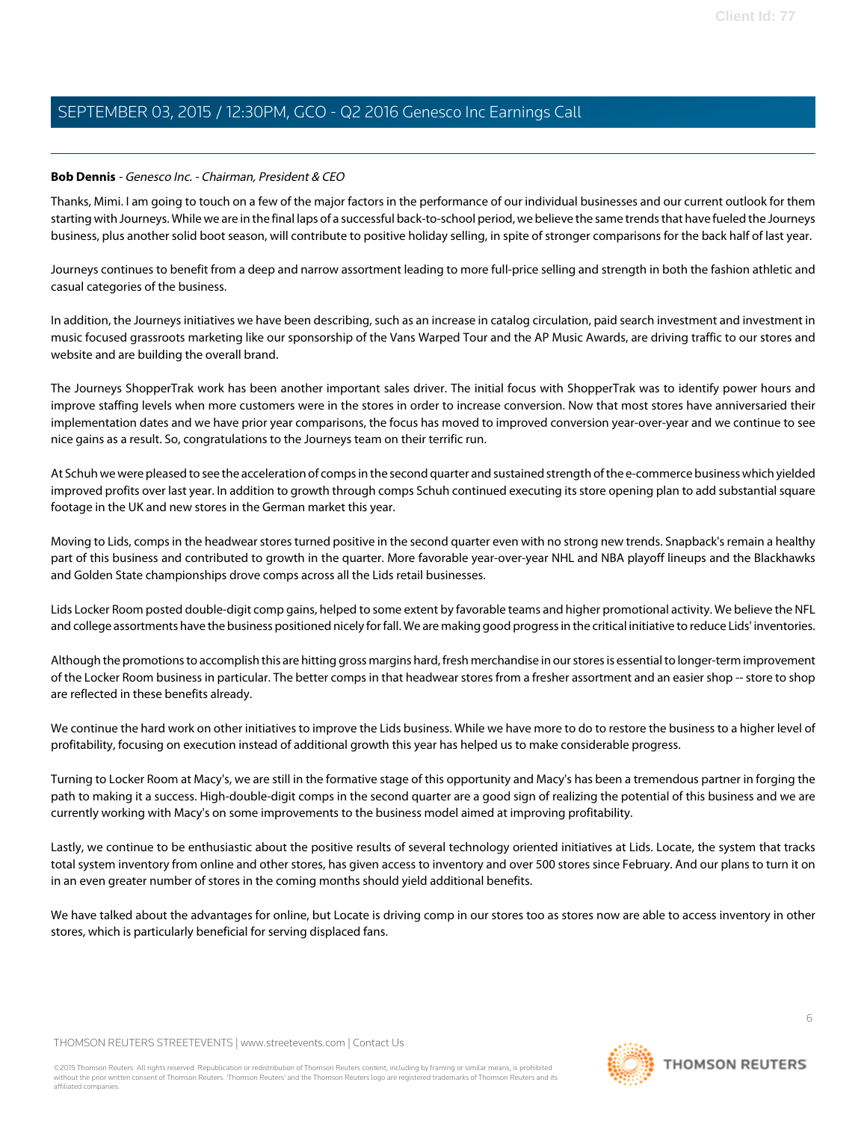### **Bob Dennis** - Genesco Inc. - Chairman, President & CEO

Thanks, Mimi. I am going to touch on a few of the major factors in the performance of our individual businesses and our current outlook for them starting with Journeys. While we are in the final laps of a successful back-to-school period, we believe the same trends that have fueled the Journeys business, plus another solid boot season, will contribute to positive holiday selling, in spite of stronger comparisons for the back half of last year.

Journeys continues to benefit from a deep and narrow assortment leading to more full-price selling and strength in both the fashion athletic and casual categories of the business.

In addition, the Journeys initiatives we have been describing, such as an increase in catalog circulation, paid search investment and investment in music focused grassroots marketing like our sponsorship of the Vans Warped Tour and the AP Music Awards, are driving traffic to our stores and website and are building the overall brand.

The Journeys ShopperTrak work has been another important sales driver. The initial focus with ShopperTrak was to identify power hours and improve staffing levels when more customers were in the stores in order to increase conversion. Now that most stores have anniversaried their implementation dates and we have prior year comparisons, the focus has moved to improved conversion year-over-year and we continue to see nice gains as a result. So, congratulations to the Journeys team on their terrific run.

At Schuh we were pleased to see the acceleration of comps in the second quarter and sustained strength of the e-commerce business which yielded improved profits over last year. In addition to growth through comps Schuh continued executing its store opening plan to add substantial square footage in the UK and new stores in the German market this year.

Moving to Lids, comps in the headwear stores turned positive in the second quarter even with no strong new trends. Snapback's remain a healthy part of this business and contributed to growth in the quarter. More favorable year-over-year NHL and NBA playoff lineups and the Blackhawks and Golden State championships drove comps across all the Lids retail businesses.

Lids Locker Room posted double-digit comp gains, helped to some extent by favorable teams and higher promotional activity. We believe the NFL and college assortments have the business positioned nicely for fall. We are making good progress in the critical initiative to reduce Lids' inventories.

Although the promotions to accomplish this are hitting gross margins hard, fresh merchandise in our stores is essential to longer-term improvement of the Locker Room business in particular. The better comps in that headwear stores from a fresher assortment and an easier shop -- store to shop are reflected in these benefits already.

We continue the hard work on other initiatives to improve the Lids business. While we have more to do to restore the business to a higher level of profitability, focusing on execution instead of additional growth this year has helped us to make considerable progress.

Turning to Locker Room at Macy's, we are still in the formative stage of this opportunity and Macy's has been a tremendous partner in forging the path to making it a success. High-double-digit comps in the second quarter are a good sign of realizing the potential of this business and we are currently working with Macy's on some improvements to the business model aimed at improving profitability.

Lastly, we continue to be enthusiastic about the positive results of several technology oriented initiatives at Lids. Locate, the system that tracks total system inventory from online and other stores, has given access to inventory and over 500 stores since February. And our plans to turn it on in an even greater number of stores in the coming months should yield additional benefits.

We have talked about the advantages for online, but Locate is driving comp in our stores too as stores now are able to access inventory in other stores, which is particularly beneficial for serving displaced fans.

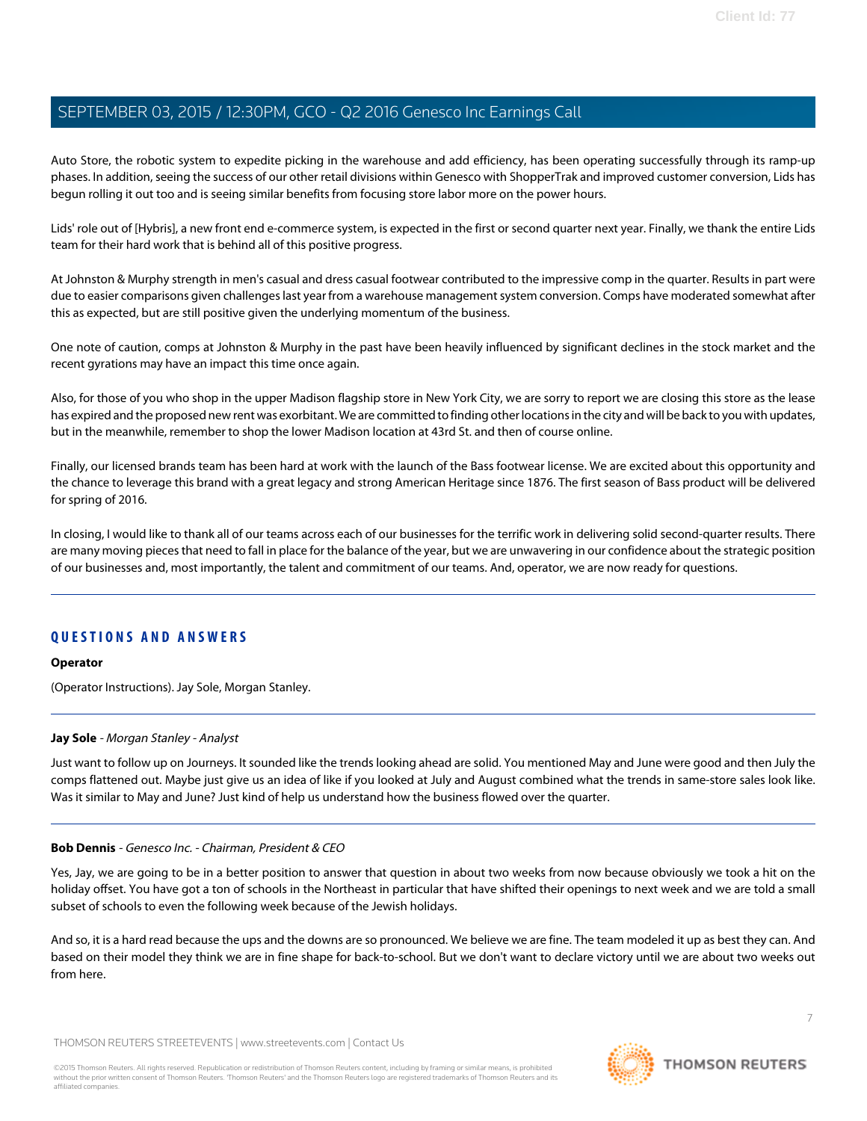Auto Store, the robotic system to expedite picking in the warehouse and add efficiency, has been operating successfully through its ramp-up phases. In addition, seeing the success of our other retail divisions within Genesco with ShopperTrak and improved customer conversion, Lids has begun rolling it out too and is seeing similar benefits from focusing store labor more on the power hours.

Lids' role out of [Hybris], a new front end e-commerce system, is expected in the first or second quarter next year. Finally, we thank the entire Lids team for their hard work that is behind all of this positive progress.

At Johnston & Murphy strength in men's casual and dress casual footwear contributed to the impressive comp in the quarter. Results in part were due to easier comparisons given challenges last year from a warehouse management system conversion. Comps have moderated somewhat after this as expected, but are still positive given the underlying momentum of the business.

One note of caution, comps at Johnston & Murphy in the past have been heavily influenced by significant declines in the stock market and the recent gyrations may have an impact this time once again.

Also, for those of you who shop in the upper Madison flagship store in New York City, we are sorry to report we are closing this store as the lease has expired and the proposed new rent was exorbitant. We are committed to finding other locations in the city and will be back to you with updates, but in the meanwhile, remember to shop the lower Madison location at 43rd St. and then of course online.

Finally, our licensed brands team has been hard at work with the launch of the Bass footwear license. We are excited about this opportunity and the chance to leverage this brand with a great legacy and strong American Heritage since 1876. The first season of Bass product will be delivered for spring of 2016.

In closing, I would like to thank all of our teams across each of our businesses for the terrific work in delivering solid second-quarter results. There are many moving pieces that need to fall in place for the balance of the year, but we are unwavering in our confidence about the strategic position of our businesses and, most importantly, the talent and commitment of our teams. And, operator, we are now ready for questions.

## **QUESTIONS AND ANSWERS**

#### <span id="page-6-0"></span>**Operator**

(Operator Instructions). Jay Sole, Morgan Stanley.

#### **Jay Sole** - Morgan Stanley - Analyst

Just want to follow up on Journeys. It sounded like the trends looking ahead are solid. You mentioned May and June were good and then July the comps flattened out. Maybe just give us an idea of like if you looked at July and August combined what the trends in same-store sales look like. Was it similar to May and June? Just kind of help us understand how the business flowed over the quarter.

#### **Bob Dennis** - Genesco Inc. - Chairman, President & CEO

Yes, Jay, we are going to be in a better position to answer that question in about two weeks from now because obviously we took a hit on the holiday offset. You have got a ton of schools in the Northeast in particular that have shifted their openings to next week and we are told a small subset of schools to even the following week because of the Jewish holidays.

And so, it is a hard read because the ups and the downs are so pronounced. We believe we are fine. The team modeled it up as best they can. And based on their model they think we are in fine shape for back-to-school. But we don't want to declare victory until we are about two weeks out from here.

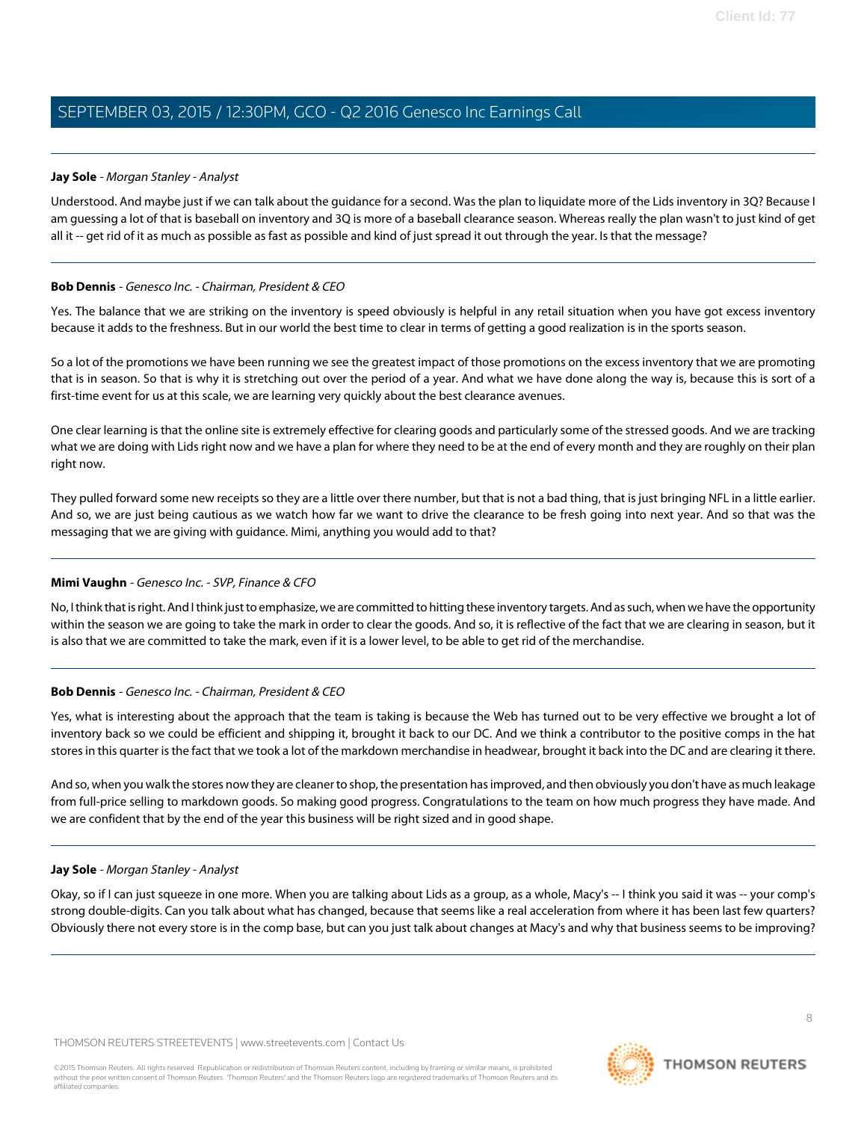### **Jay Sole** - Morgan Stanley - Analyst

Understood. And maybe just if we can talk about the guidance for a second. Was the plan to liquidate more of the Lids inventory in 3Q? Because I am guessing a lot of that is baseball on inventory and 3Q is more of a baseball clearance season. Whereas really the plan wasn't to just kind of get all it -- get rid of it as much as possible as fast as possible and kind of just spread it out through the year. Is that the message?

#### **Bob Dennis** - Genesco Inc. - Chairman, President & CEO

Yes. The balance that we are striking on the inventory is speed obviously is helpful in any retail situation when you have got excess inventory because it adds to the freshness. But in our world the best time to clear in terms of getting a good realization is in the sports season.

So a lot of the promotions we have been running we see the greatest impact of those promotions on the excess inventory that we are promoting that is in season. So that is why it is stretching out over the period of a year. And what we have done along the way is, because this is sort of a first-time event for us at this scale, we are learning very quickly about the best clearance avenues.

One clear learning is that the online site is extremely effective for clearing goods and particularly some of the stressed goods. And we are tracking what we are doing with Lids right now and we have a plan for where they need to be at the end of every month and they are roughly on their plan right now.

They pulled forward some new receipts so they are a little over there number, but that is not a bad thing, that is just bringing NFL in a little earlier. And so, we are just being cautious as we watch how far we want to drive the clearance to be fresh going into next year. And so that was the messaging that we are giving with guidance. Mimi, anything you would add to that?

#### **Mimi Vaughn** - Genesco Inc. - SVP, Finance & CFO

No, I think that is right. And I think just to emphasize, we are committed to hitting these inventory targets. And as such, when we have the opportunity within the season we are going to take the mark in order to clear the goods. And so, it is reflective of the fact that we are clearing in season, but it is also that we are committed to take the mark, even if it is a lower level, to be able to get rid of the merchandise.

## **Bob Dennis** - Genesco Inc. - Chairman, President & CEO

Yes, what is interesting about the approach that the team is taking is because the Web has turned out to be very effective we brought a lot of inventory back so we could be efficient and shipping it, brought it back to our DC. And we think a contributor to the positive comps in the hat stores in this quarter is the fact that we took a lot of the markdown merchandise in headwear, brought it back into the DC and are clearing it there.

And so, when you walk the stores now they are cleaner to shop, the presentation has improved, and then obviously you don't have as much leakage from full-price selling to markdown goods. So making good progress. Congratulations to the team on how much progress they have made. And we are confident that by the end of the year this business will be right sized and in good shape.

#### **Jay Sole** - Morgan Stanley - Analyst

Okay, so if I can just squeeze in one more. When you are talking about Lids as a group, as a whole, Macy's -- I think you said it was -- your comp's strong double-digits. Can you talk about what has changed, because that seems like a real acceleration from where it has been last few quarters? Obviously there not every store is in the comp base, but can you just talk about changes at Macy's and why that business seems to be improving?

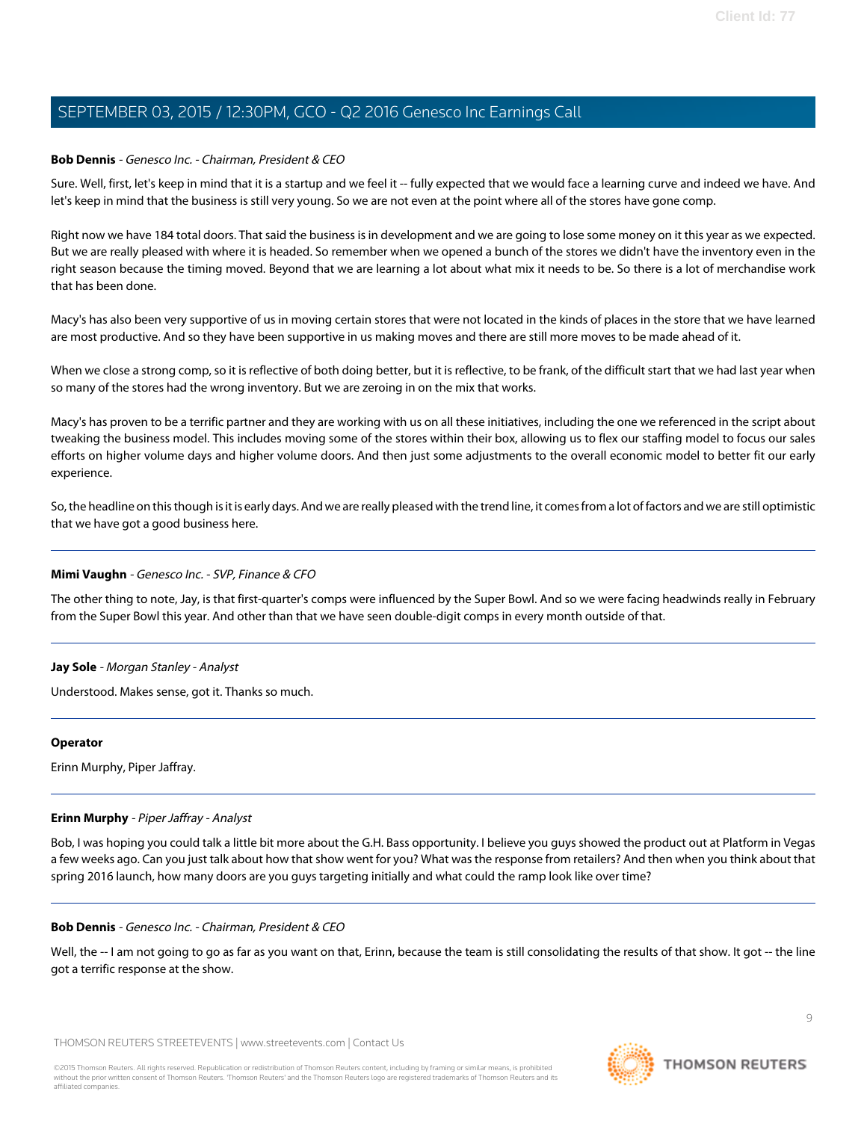## **Bob Dennis** - Genesco Inc. - Chairman, President & CEO

Sure. Well, first, let's keep in mind that it is a startup and we feel it -- fully expected that we would face a learning curve and indeed we have. And let's keep in mind that the business is still very young. So we are not even at the point where all of the stores have gone comp.

Right now we have 184 total doors. That said the business is in development and we are going to lose some money on it this year as we expected. But we are really pleased with where it is headed. So remember when we opened a bunch of the stores we didn't have the inventory even in the right season because the timing moved. Beyond that we are learning a lot about what mix it needs to be. So there is a lot of merchandise work that has been done.

Macy's has also been very supportive of us in moving certain stores that were not located in the kinds of places in the store that we have learned are most productive. And so they have been supportive in us making moves and there are still more moves to be made ahead of it.

When we close a strong comp, so it is reflective of both doing better, but it is reflective, to be frank, of the difficult start that we had last year when so many of the stores had the wrong inventory. But we are zeroing in on the mix that works.

Macy's has proven to be a terrific partner and they are working with us on all these initiatives, including the one we referenced in the script about tweaking the business model. This includes moving some of the stores within their box, allowing us to flex our staffing model to focus our sales efforts on higher volume days and higher volume doors. And then just some adjustments to the overall economic model to better fit our early experience.

So, the headline on this though is it is early days. And we are really pleased with the trend line, it comes from a lot of factors and we are still optimistic that we have got a good business here.

#### **Mimi Vaughn** - Genesco Inc. - SVP, Finance & CFO

The other thing to note, Jay, is that first-quarter's comps were influenced by the Super Bowl. And so we were facing headwinds really in February from the Super Bowl this year. And other than that we have seen double-digit comps in every month outside of that.

#### **Jay Sole** - Morgan Stanley - Analyst

Understood. Makes sense, got it. Thanks so much.

#### <span id="page-8-0"></span>**Operator**

Erinn Murphy, Piper Jaffray.

#### **Erinn Murphy** - Piper Jaffray - Analyst

Bob, I was hoping you could talk a little bit more about the G.H. Bass opportunity. I believe you guys showed the product out at Platform in Vegas a few weeks ago. Can you just talk about how that show went for you? What was the response from retailers? And then when you think about that spring 2016 launch, how many doors are you guys targeting initially and what could the ramp look like over time?

#### **Bob Dennis** - Genesco Inc. - Chairman, President & CEO

Well, the -- I am not going to go as far as you want on that, Erinn, because the team is still consolidating the results of that show. It got -- the line got a terrific response at the show.

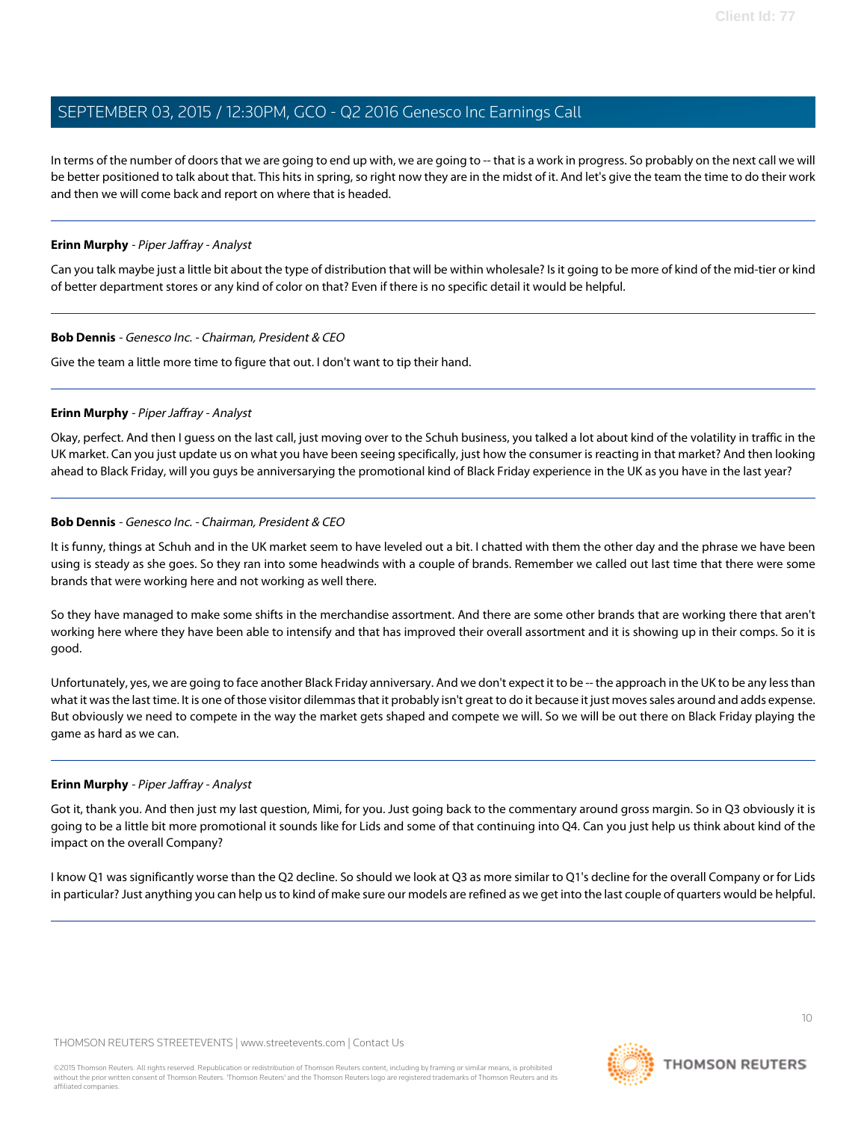In terms of the number of doors that we are going to end up with, we are going to -- that is a work in progress. So probably on the next call we will be better positioned to talk about that. This hits in spring, so right now they are in the midst of it. And let's give the team the time to do their work and then we will come back and report on where that is headed.

#### **Erinn Murphy** - Piper Jaffray - Analyst

Can you talk maybe just a little bit about the type of distribution that will be within wholesale? Is it going to be more of kind of the mid-tier or kind of better department stores or any kind of color on that? Even if there is no specific detail it would be helpful.

#### **Bob Dennis** - Genesco Inc. - Chairman, President & CEO

Give the team a little more time to figure that out. I don't want to tip their hand.

### **Erinn Murphy** - Piper Jaffray - Analyst

Okay, perfect. And then I guess on the last call, just moving over to the Schuh business, you talked a lot about kind of the volatility in traffic in the UK market. Can you just update us on what you have been seeing specifically, just how the consumer is reacting in that market? And then looking ahead to Black Friday, will you guys be anniversarying the promotional kind of Black Friday experience in the UK as you have in the last year?

### **Bob Dennis** - Genesco Inc. - Chairman, President & CEO

It is funny, things at Schuh and in the UK market seem to have leveled out a bit. I chatted with them the other day and the phrase we have been using is steady as she goes. So they ran into some headwinds with a couple of brands. Remember we called out last time that there were some brands that were working here and not working as well there.

So they have managed to make some shifts in the merchandise assortment. And there are some other brands that are working there that aren't working here where they have been able to intensify and that has improved their overall assortment and it is showing up in their comps. So it is good.

Unfortunately, yes, we are going to face another Black Friday anniversary. And we don't expect it to be -- the approach in the UK to be any less than what it was the last time. It is one of those visitor dilemmas that it probably isn't great to do it because it just moves sales around and adds expense. But obviously we need to compete in the way the market gets shaped and compete we will. So we will be out there on Black Friday playing the game as hard as we can.

## **Erinn Murphy** - Piper Jaffray - Analyst

Got it, thank you. And then just my last question, Mimi, for you. Just going back to the commentary around gross margin. So in Q3 obviously it is going to be a little bit more promotional it sounds like for Lids and some of that continuing into Q4. Can you just help us think about kind of the impact on the overall Company?

I know Q1 was significantly worse than the Q2 decline. So should we look at Q3 as more similar to Q1's decline for the overall Company or for Lids in particular? Just anything you can help us to kind of make sure our models are refined as we get into the last couple of quarters would be helpful.

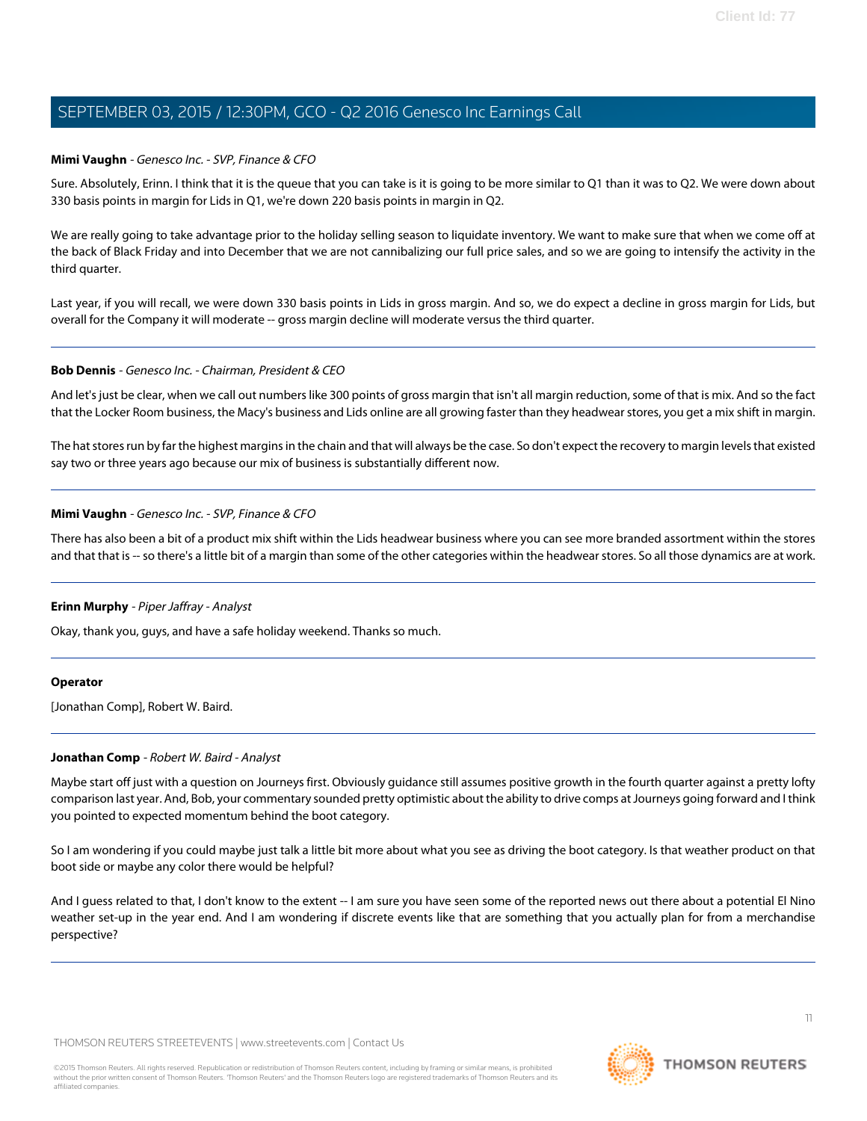### **Mimi Vaughn** - Genesco Inc. - SVP, Finance & CFO

Sure. Absolutely, Erinn. I think that it is the queue that you can take is it is going to be more similar to Q1 than it was to Q2. We were down about 330 basis points in margin for Lids in Q1, we're down 220 basis points in margin in Q2.

We are really going to take advantage prior to the holiday selling season to liquidate inventory. We want to make sure that when we come off at the back of Black Friday and into December that we are not cannibalizing our full price sales, and so we are going to intensify the activity in the third quarter.

Last year, if you will recall, we were down 330 basis points in Lids in gross margin. And so, we do expect a decline in gross margin for Lids, but overall for the Company it will moderate -- gross margin decline will moderate versus the third quarter.

### **Bob Dennis** - Genesco Inc. - Chairman, President & CEO

And let's just be clear, when we call out numbers like 300 points of gross margin that isn't all margin reduction, some of that is mix. And so the fact that the Locker Room business, the Macy's business and Lids online are all growing faster than they headwear stores, you get a mix shift in margin.

The hat stores run by far the highest margins in the chain and that will always be the case. So don't expect the recovery to margin levels that existed say two or three years ago because our mix of business is substantially different now.

### **Mimi Vaughn** - Genesco Inc. - SVP, Finance & CFO

There has also been a bit of a product mix shift within the Lids headwear business where you can see more branded assortment within the stores and that that is -- so there's a little bit of a margin than some of the other categories within the headwear stores. So all those dynamics are at work.

#### **Erinn Murphy** - Piper Jaffray - Analyst

Okay, thank you, guys, and have a safe holiday weekend. Thanks so much.

#### <span id="page-10-0"></span>**Operator**

[Jonathan Comp], Robert W. Baird.

#### **Jonathan Comp** - Robert W. Baird - Analyst

Maybe start off just with a question on Journeys first. Obviously guidance still assumes positive growth in the fourth quarter against a pretty lofty comparison last year. And, Bob, your commentary sounded pretty optimistic about the ability to drive comps at Journeys going forward and I think you pointed to expected momentum behind the boot category.

So I am wondering if you could maybe just talk a little bit more about what you see as driving the boot category. Is that weather product on that boot side or maybe any color there would be helpful?

And I guess related to that, I don't know to the extent -- I am sure you have seen some of the reported news out there about a potential El Nino weather set-up in the year end. And I am wondering if discrete events like that are something that you actually plan for from a merchandise perspective?

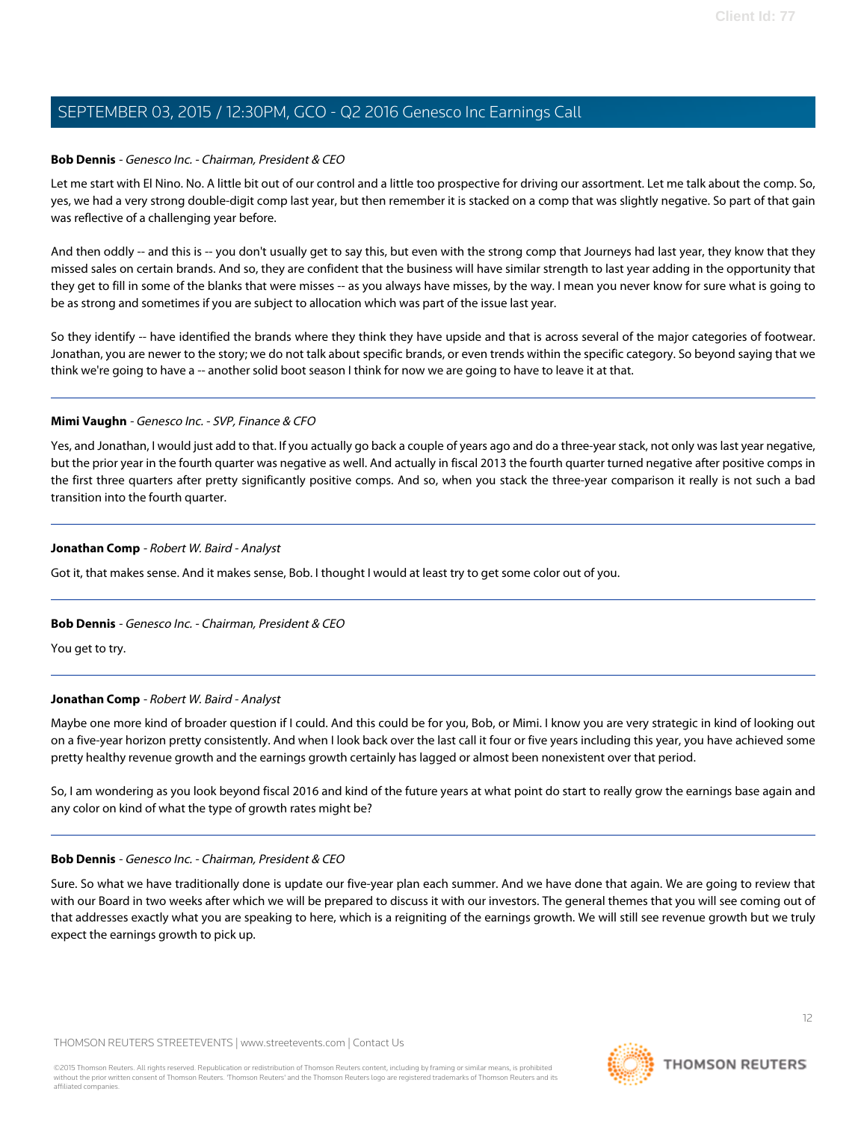### **Bob Dennis** - Genesco Inc. - Chairman, President & CEO

Let me start with El Nino. No. A little bit out of our control and a little too prospective for driving our assortment. Let me talk about the comp. So, yes, we had a very strong double-digit comp last year, but then remember it is stacked on a comp that was slightly negative. So part of that gain was reflective of a challenging year before.

And then oddly -- and this is -- you don't usually get to say this, but even with the strong comp that Journeys had last year, they know that they missed sales on certain brands. And so, they are confident that the business will have similar strength to last year adding in the opportunity that they get to fill in some of the blanks that were misses -- as you always have misses, by the way. I mean you never know for sure what is going to be as strong and sometimes if you are subject to allocation which was part of the issue last year.

So they identify -- have identified the brands where they think they have upside and that is across several of the major categories of footwear. Jonathan, you are newer to the story; we do not talk about specific brands, or even trends within the specific category. So beyond saying that we think we're going to have a -- another solid boot season I think for now we are going to have to leave it at that.

#### **Mimi Vaughn** - Genesco Inc. - SVP, Finance & CFO

Yes, and Jonathan, I would just add to that. If you actually go back a couple of years ago and do a three-year stack, not only was last year negative, but the prior year in the fourth quarter was negative as well. And actually in fiscal 2013 the fourth quarter turned negative after positive comps in the first three quarters after pretty significantly positive comps. And so, when you stack the three-year comparison it really is not such a bad transition into the fourth quarter.

### **Jonathan Comp** - Robert W. Baird - Analyst

Got it, that makes sense. And it makes sense, Bob. I thought I would at least try to get some color out of you.

## **Bob Dennis** - Genesco Inc. - Chairman, President & CEO

You get to try.

## **Jonathan Comp** - Robert W. Baird - Analyst

Maybe one more kind of broader question if I could. And this could be for you, Bob, or Mimi. I know you are very strategic in kind of looking out on a five-year horizon pretty consistently. And when I look back over the last call it four or five years including this year, you have achieved some pretty healthy revenue growth and the earnings growth certainly has lagged or almost been nonexistent over that period.

So, I am wondering as you look beyond fiscal 2016 and kind of the future years at what point do start to really grow the earnings base again and any color on kind of what the type of growth rates might be?

#### **Bob Dennis** - Genesco Inc. - Chairman, President & CEO

Sure. So what we have traditionally done is update our five-year plan each summer. And we have done that again. We are going to review that with our Board in two weeks after which we will be prepared to discuss it with our investors. The general themes that you will see coming out of that addresses exactly what you are speaking to here, which is a reigniting of the earnings growth. We will still see revenue growth but we truly expect the earnings growth to pick up.

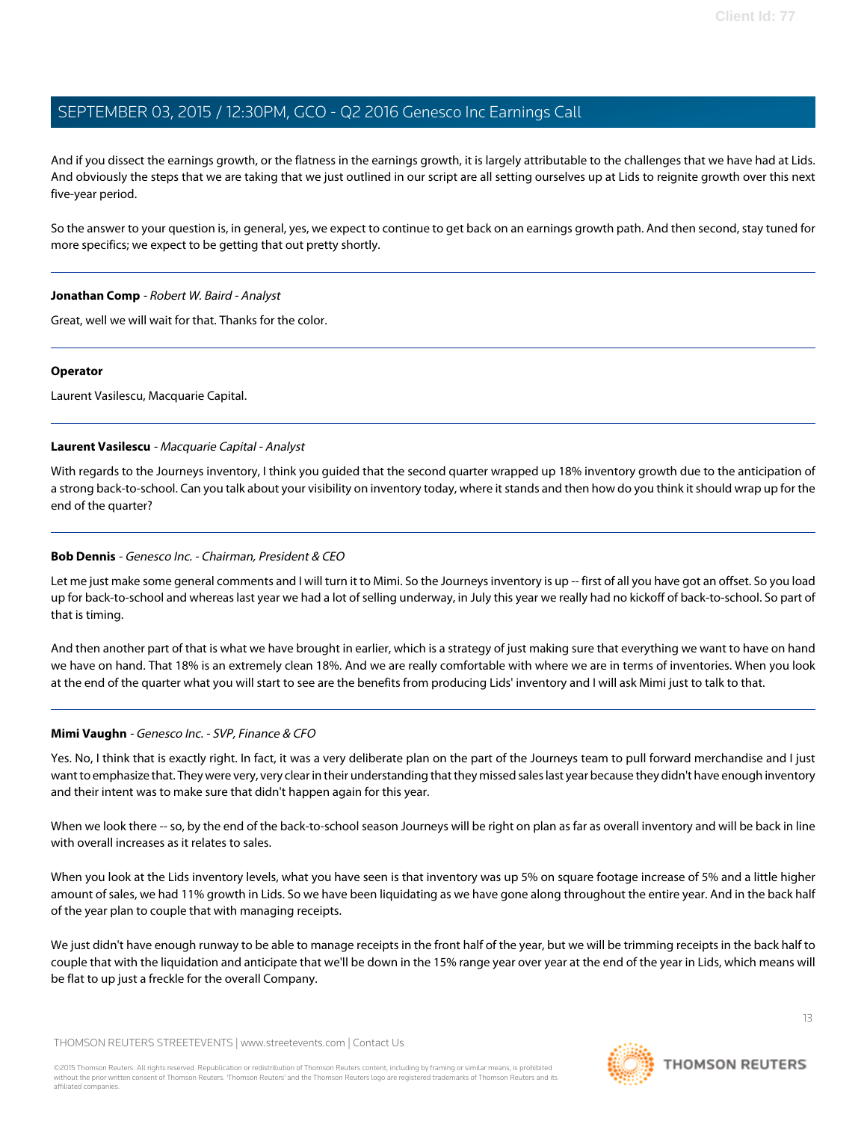And if you dissect the earnings growth, or the flatness in the earnings growth, it is largely attributable to the challenges that we have had at Lids. And obviously the steps that we are taking that we just outlined in our script are all setting ourselves up at Lids to reignite growth over this next five-year period.

So the answer to your question is, in general, yes, we expect to continue to get back on an earnings growth path. And then second, stay tuned for more specifics; we expect to be getting that out pretty shortly.

#### **Jonathan Comp** - Robert W. Baird - Analyst

Great, well we will wait for that. Thanks for the color.

#### **Operator**

<span id="page-12-0"></span>Laurent Vasilescu, Macquarie Capital.

#### **Laurent Vasilescu** - Macquarie Capital - Analyst

With regards to the Journeys inventory, I think you guided that the second quarter wrapped up 18% inventory growth due to the anticipation of a strong back-to-school. Can you talk about your visibility on inventory today, where it stands and then how do you think it should wrap up for the end of the quarter?

### **Bob Dennis** - Genesco Inc. - Chairman, President & CEO

Let me just make some general comments and I will turn it to Mimi. So the Journeys inventory is up -- first of all you have got an offset. So you load up for back-to-school and whereas last year we had a lot of selling underway, in July this year we really had no kickoff of back-to-school. So part of that is timing.

And then another part of that is what we have brought in earlier, which is a strategy of just making sure that everything we want to have on hand we have on hand. That 18% is an extremely clean 18%. And we are really comfortable with where we are in terms of inventories. When you look at the end of the quarter what you will start to see are the benefits from producing Lids' inventory and I will ask Mimi just to talk to that.

#### **Mimi Vaughn** - Genesco Inc. - SVP, Finance & CFO

Yes. No, I think that is exactly right. In fact, it was a very deliberate plan on the part of the Journeys team to pull forward merchandise and I just want to emphasize that. They were very, very clear in their understanding that they missed sales last year because they didn't have enough inventory and their intent was to make sure that didn't happen again for this year.

When we look there -- so, by the end of the back-to-school season Journeys will be right on plan as far as overall inventory and will be back in line with overall increases as it relates to sales.

When you look at the Lids inventory levels, what you have seen is that inventory was up 5% on square footage increase of 5% and a little higher amount of sales, we had 11% growth in Lids. So we have been liquidating as we have gone along throughout the entire year. And in the back half of the year plan to couple that with managing receipts.

We just didn't have enough runway to be able to manage receipts in the front half of the year, but we will be trimming receipts in the back half to couple that with the liquidation and anticipate that we'll be down in the 15% range year over year at the end of the year in Lids, which means will be flat to up just a freckle for the overall Company.

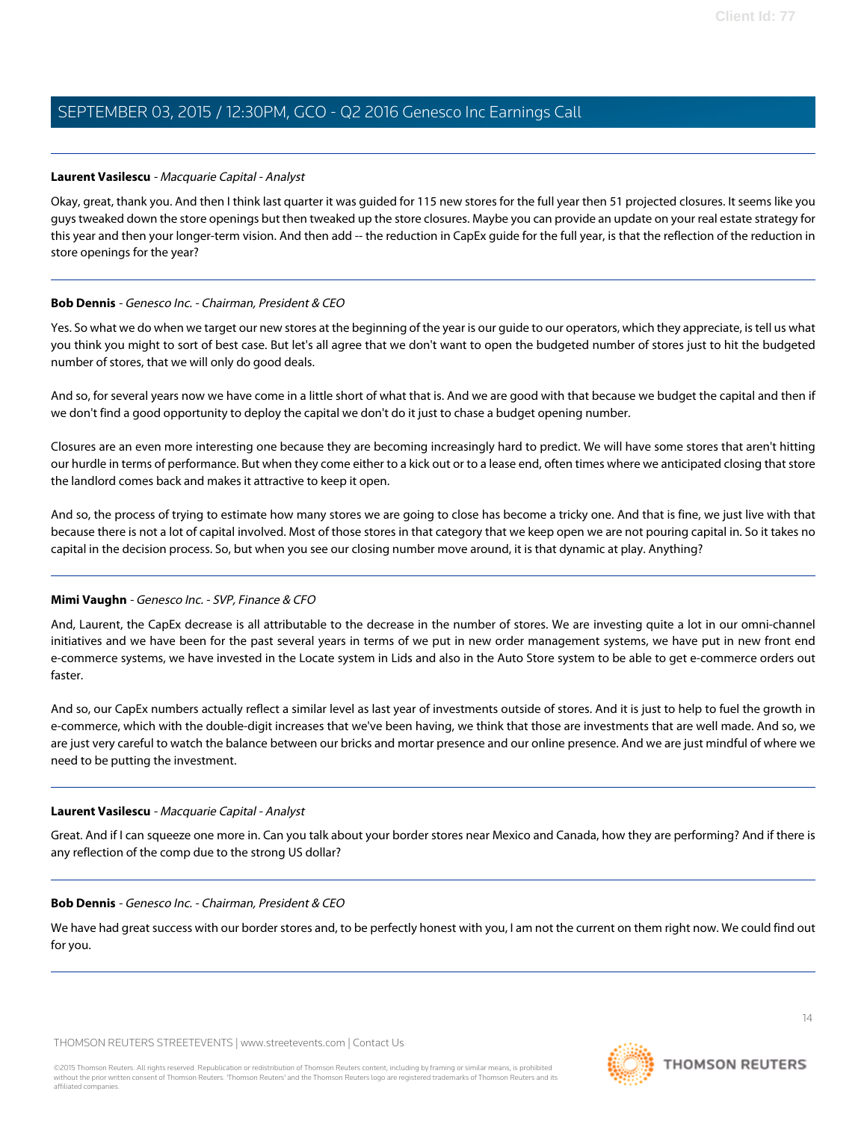#### **Laurent Vasilescu** - Macquarie Capital - Analyst

Okay, great, thank you. And then I think last quarter it was guided for 115 new stores for the full year then 51 projected closures. It seems like you guys tweaked down the store openings but then tweaked up the store closures. Maybe you can provide an update on your real estate strategy for this year and then your longer-term vision. And then add -- the reduction in CapEx quide for the full year, is that the reflection of the reduction in store openings for the year?

#### **Bob Dennis** - Genesco Inc. - Chairman, President & CEO

Yes. So what we do when we target our new stores at the beginning of the year is our guide to our operators, which they appreciate, is tell us what you think you might to sort of best case. But let's all agree that we don't want to open the budgeted number of stores just to hit the budgeted number of stores, that we will only do good deals.

And so, for several years now we have come in a little short of what that is. And we are good with that because we budget the capital and then if we don't find a good opportunity to deploy the capital we don't do it just to chase a budget opening number.

Closures are an even more interesting one because they are becoming increasingly hard to predict. We will have some stores that aren't hitting our hurdle in terms of performance. But when they come either to a kick out or to a lease end, often times where we anticipated closing that store the landlord comes back and makes it attractive to keep it open.

And so, the process of trying to estimate how many stores we are going to close has become a tricky one. And that is fine, we just live with that because there is not a lot of capital involved. Most of those stores in that category that we keep open we are not pouring capital in. So it takes no capital in the decision process. So, but when you see our closing number move around, it is that dynamic at play. Anything?

## **Mimi Vaughn** - Genesco Inc. - SVP, Finance & CFO

And, Laurent, the CapEx decrease is all attributable to the decrease in the number of stores. We are investing quite a lot in our omni-channel initiatives and we have been for the past several years in terms of we put in new order management systems, we have put in new front end e-commerce systems, we have invested in the Locate system in Lids and also in the Auto Store system to be able to get e-commerce orders out faster.

And so, our CapEx numbers actually reflect a similar level as last year of investments outside of stores. And it is just to help to fuel the growth in e-commerce, which with the double-digit increases that we've been having, we think that those are investments that are well made. And so, we are just very careful to watch the balance between our bricks and mortar presence and our online presence. And we are just mindful of where we need to be putting the investment.

#### **Laurent Vasilescu** - Macquarie Capital - Analyst

Great. And if I can squeeze one more in. Can you talk about your border stores near Mexico and Canada, how they are performing? And if there is any reflection of the comp due to the strong US dollar?

#### **Bob Dennis** - Genesco Inc. - Chairman, President & CEO

We have had great success with our border stores and, to be perfectly honest with you, I am not the current on them right now. We could find out for you.

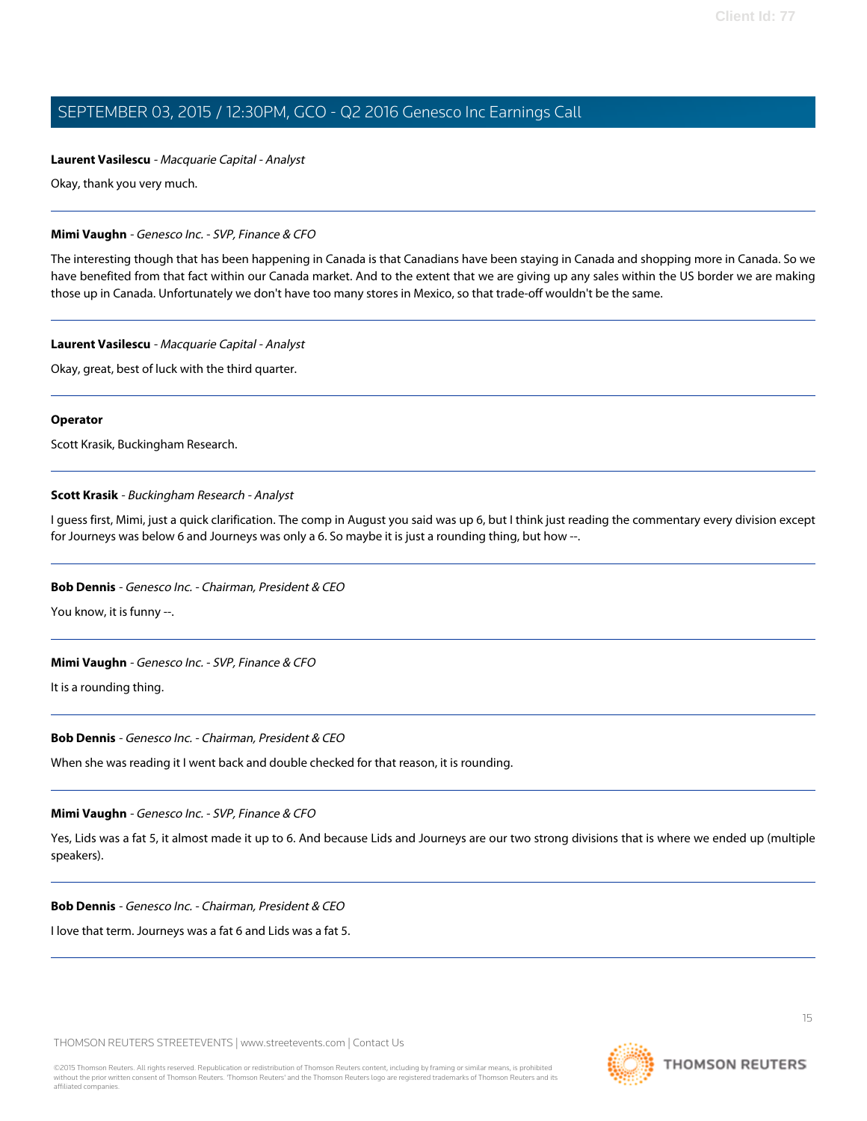#### **Laurent Vasilescu** - Macquarie Capital - Analyst

Okay, thank you very much.

#### **Mimi Vaughn** - Genesco Inc. - SVP, Finance & CFO

The interesting though that has been happening in Canada is that Canadians have been staying in Canada and shopping more in Canada. So we have benefited from that fact within our Canada market. And to the extent that we are giving up any sales within the US border we are making those up in Canada. Unfortunately we don't have too many stores in Mexico, so that trade-off wouldn't be the same.

#### **Laurent Vasilescu** - Macquarie Capital - Analyst

Okay, great, best of luck with the third quarter.

#### **Operator**

<span id="page-14-0"></span>Scott Krasik, Buckingham Research.

#### **Scott Krasik** - Buckingham Research - Analyst

I guess first, Mimi, just a quick clarification. The comp in August you said was up 6, but I think just reading the commentary every division except for Journeys was below 6 and Journeys was only a 6. So maybe it is just a rounding thing, but how --.

#### **Bob Dennis** - Genesco Inc. - Chairman, President & CEO

You know, it is funny --.

#### **Mimi Vaughn** - Genesco Inc. - SVP, Finance & CFO

It is a rounding thing.

#### **Bob Dennis** - Genesco Inc. - Chairman, President & CEO

When she was reading it I went back and double checked for that reason, it is rounding.

#### **Mimi Vaughn** - Genesco Inc. - SVP, Finance & CFO

Yes, Lids was a fat 5, it almost made it up to 6. And because Lids and Journeys are our two strong divisions that is where we ended up (multiple speakers).

#### **Bob Dennis** - Genesco Inc. - Chairman, President & CEO

I love that term. Journeys was a fat 6 and Lids was a fat 5.

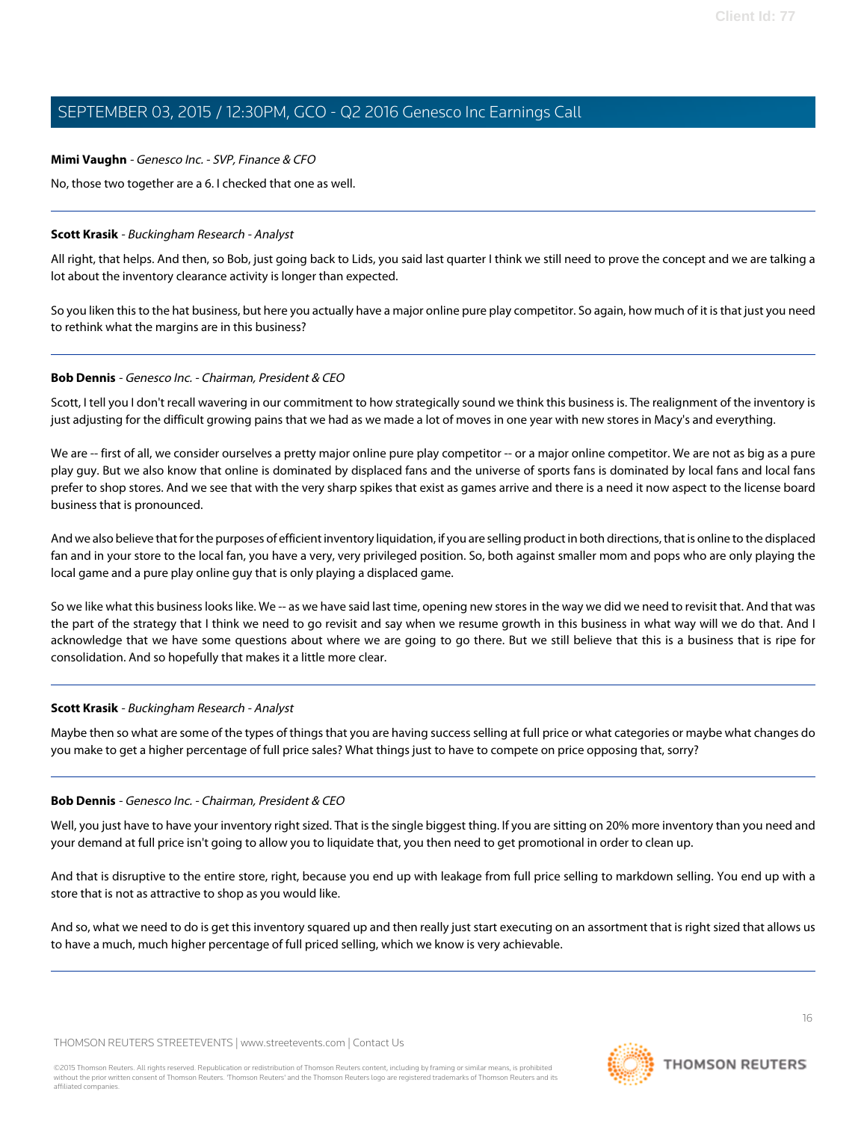#### **Mimi Vaughn** - Genesco Inc. - SVP, Finance & CFO

No, those two together are a 6. I checked that one as well.

### **Scott Krasik** - Buckingham Research - Analyst

All right, that helps. And then, so Bob, just going back to Lids, you said last quarter I think we still need to prove the concept and we are talking a lot about the inventory clearance activity is longer than expected.

So you liken this to the hat business, but here you actually have a major online pure play competitor. So again, how much of it is that just you need to rethink what the margins are in this business?

### **Bob Dennis** - Genesco Inc. - Chairman, President & CEO

Scott, I tell you I don't recall wavering in our commitment to how strategically sound we think this business is. The realignment of the inventory is just adjusting for the difficult growing pains that we had as we made a lot of moves in one year with new stores in Macy's and everything.

We are -- first of all, we consider ourselves a pretty major online pure play competitor -- or a major online competitor. We are not as big as a pure play guy. But we also know that online is dominated by displaced fans and the universe of sports fans is dominated by local fans and local fans prefer to shop stores. And we see that with the very sharp spikes that exist as games arrive and there is a need it now aspect to the license board business that is pronounced.

And we also believe that for the purposes of efficient inventory liquidation, if you are selling product in both directions, that is online to the displaced fan and in your store to the local fan, you have a very, very privileged position. So, both against smaller mom and pops who are only playing the local game and a pure play online guy that is only playing a displaced game.

So we like what this business looks like. We -- as we have said last time, opening new stores in the way we did we need to revisit that. And that was the part of the strategy that I think we need to go revisit and say when we resume growth in this business in what way will we do that. And I acknowledge that we have some questions about where we are going to go there. But we still believe that this is a business that is ripe for consolidation. And so hopefully that makes it a little more clear.

## **Scott Krasik** - Buckingham Research - Analyst

Maybe then so what are some of the types of things that you are having success selling at full price or what categories or maybe what changes do you make to get a higher percentage of full price sales? What things just to have to compete on price opposing that, sorry?

#### **Bob Dennis** - Genesco Inc. - Chairman, President & CEO

Well, you just have to have your inventory right sized. That is the single biggest thing. If you are sitting on 20% more inventory than you need and your demand at full price isn't going to allow you to liquidate that, you then need to get promotional in order to clean up.

And that is disruptive to the entire store, right, because you end up with leakage from full price selling to markdown selling. You end up with a store that is not as attractive to shop as you would like.

And so, what we need to do is get this inventory squared up and then really just start executing on an assortment that is right sized that allows us to have a much, much higher percentage of full priced selling, which we know is very achievable.

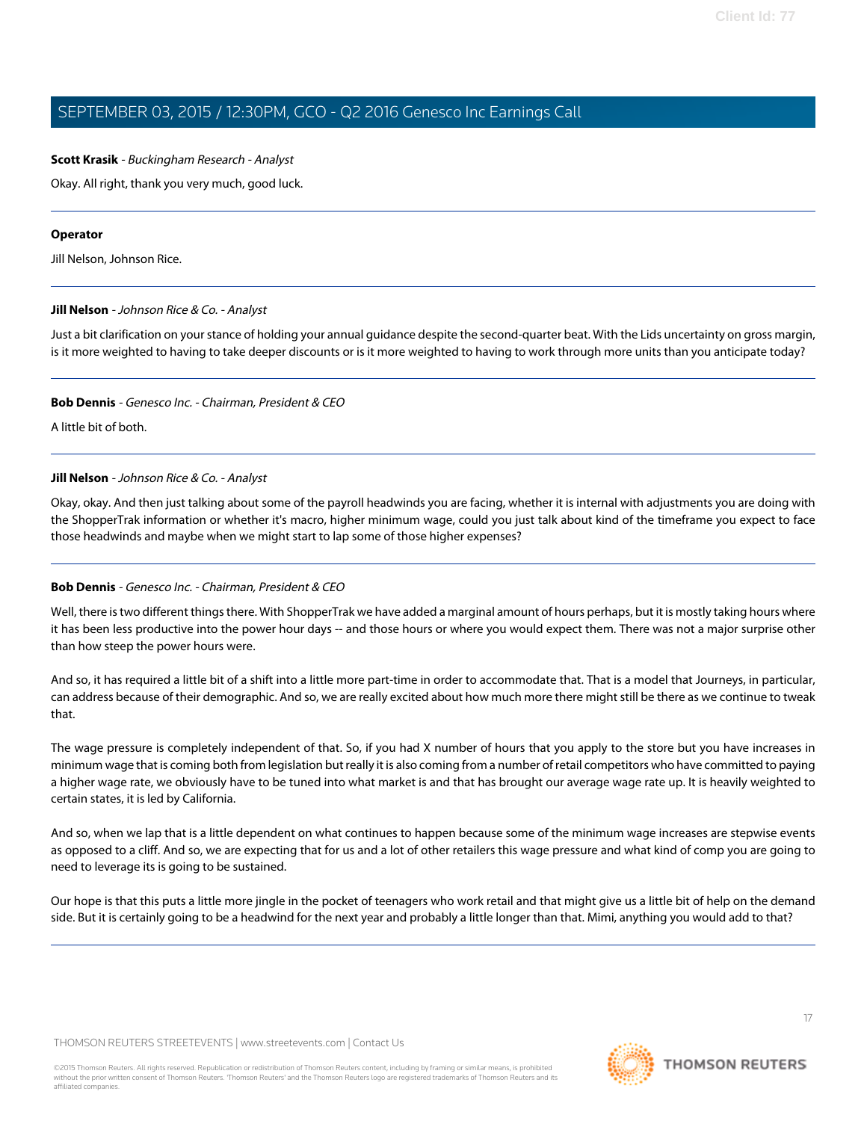### **Scott Krasik** - Buckingham Research - Analyst

Okay. All right, thank you very much, good luck.

#### **Operator**

<span id="page-16-0"></span>Jill Nelson, Johnson Rice.

#### **Jill Nelson** - Johnson Rice & Co. - Analyst

Just a bit clarification on your stance of holding your annual guidance despite the second-quarter beat. With the Lids uncertainty on gross margin, is it more weighted to having to take deeper discounts or is it more weighted to having to work through more units than you anticipate today?

#### **Bob Dennis** - Genesco Inc. - Chairman, President & CEO

A little bit of both.

#### **Jill Nelson** - Johnson Rice & Co. - Analyst

Okay, okay. And then just talking about some of the payroll headwinds you are facing, whether it is internal with adjustments you are doing with the ShopperTrak information or whether it's macro, higher minimum wage, could you just talk about kind of the timeframe you expect to face those headwinds and maybe when we might start to lap some of those higher expenses?

#### **Bob Dennis** - Genesco Inc. - Chairman, President & CEO

Well, there is two different things there. With ShopperTrak we have added a marginal amount of hours perhaps, but it is mostly taking hours where it has been less productive into the power hour days -- and those hours or where you would expect them. There was not a major surprise other than how steep the power hours were.

And so, it has required a little bit of a shift into a little more part-time in order to accommodate that. That is a model that Journeys, in particular, can address because of their demographic. And so, we are really excited about how much more there might still be there as we continue to tweak that.

The wage pressure is completely independent of that. So, if you had X number of hours that you apply to the store but you have increases in minimum wage that is coming both from legislation but really it is also coming from a number of retail competitors who have committed to paying a higher wage rate, we obviously have to be tuned into what market is and that has brought our average wage rate up. It is heavily weighted to certain states, it is led by California.

And so, when we lap that is a little dependent on what continues to happen because some of the minimum wage increases are stepwise events as opposed to a cliff. And so, we are expecting that for us and a lot of other retailers this wage pressure and what kind of comp you are going to need to leverage its is going to be sustained.

Our hope is that this puts a little more jingle in the pocket of teenagers who work retail and that might give us a little bit of help on the demand side. But it is certainly going to be a headwind for the next year and probably a little longer than that. Mimi, anything you would add to that?

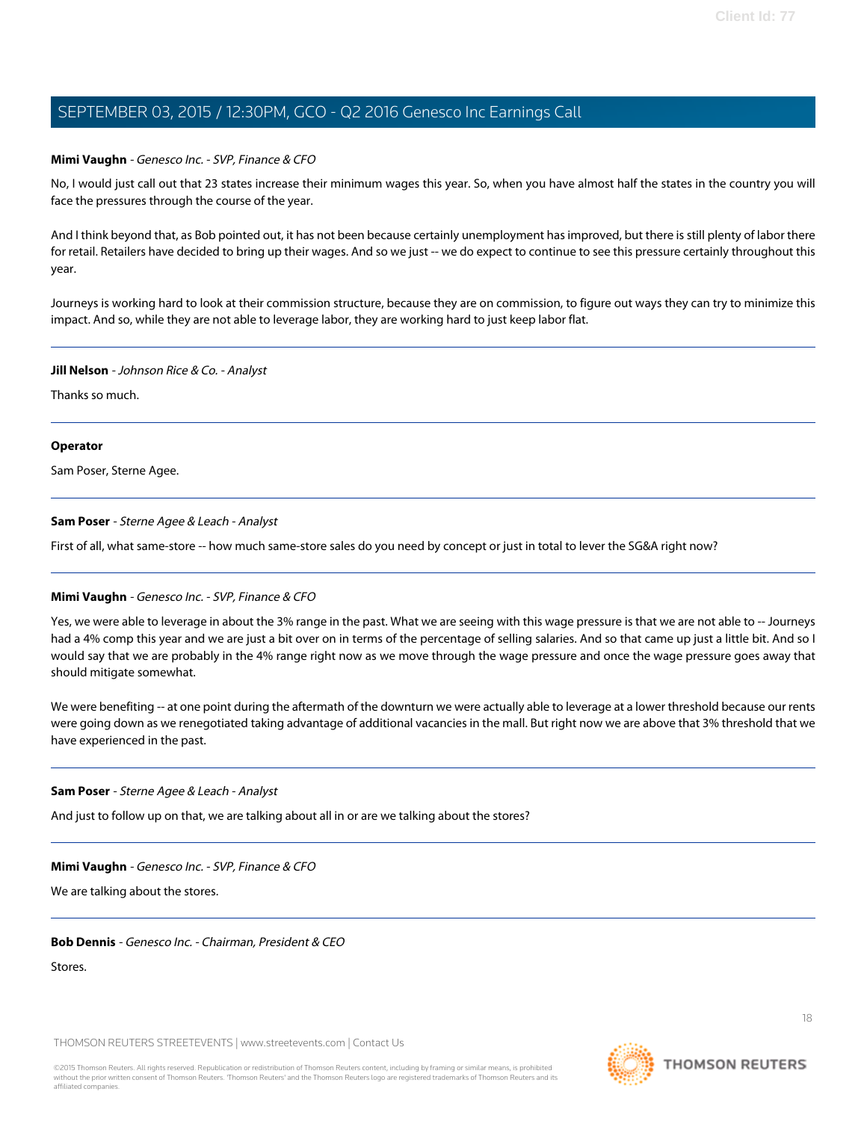#### **Mimi Vaughn** - Genesco Inc. - SVP, Finance & CFO

No, I would just call out that 23 states increase their minimum wages this year. So, when you have almost half the states in the country you will face the pressures through the course of the year.

And I think beyond that, as Bob pointed out, it has not been because certainly unemployment has improved, but there is still plenty of labor there for retail. Retailers have decided to bring up their wages. And so we just -- we do expect to continue to see this pressure certainly throughout this year.

Journeys is working hard to look at their commission structure, because they are on commission, to figure out ways they can try to minimize this impact. And so, while they are not able to leverage labor, they are working hard to just keep labor flat.

#### **Jill Nelson** - Johnson Rice & Co. - Analyst

Thanks so much.

#### **Operator**

<span id="page-17-0"></span>Sam Poser, Sterne Agee.

#### **Sam Poser** - Sterne Agee & Leach - Analyst

First of all, what same-store -- how much same-store sales do you need by concept or just in total to lever the SG&A right now?

#### **Mimi Vaughn** - Genesco Inc. - SVP, Finance & CFO

Yes, we were able to leverage in about the 3% range in the past. What we are seeing with this wage pressure is that we are not able to -- Journeys had a 4% comp this year and we are just a bit over on in terms of the percentage of selling salaries. And so that came up just a little bit. And so I would say that we are probably in the 4% range right now as we move through the wage pressure and once the wage pressure goes away that should mitigate somewhat.

We were benefiting -- at one point during the aftermath of the downturn we were actually able to leverage at a lower threshold because our rents were going down as we renegotiated taking advantage of additional vacancies in the mall. But right now we are above that 3% threshold that we have experienced in the past.

#### **Sam Poser** - Sterne Agee & Leach - Analyst

And just to follow up on that, we are talking about all in or are we talking about the stores?

#### **Mimi Vaughn** - Genesco Inc. - SVP, Finance & CFO

We are talking about the stores.

**Bob Dennis** - Genesco Inc. - Chairman, President & CEO

Stores.

THOMSON REUTERS STREETEVENTS | [www.streetevents.com](http://www.streetevents.com) | [Contact Us](http://www010.streetevents.com/contact.asp)

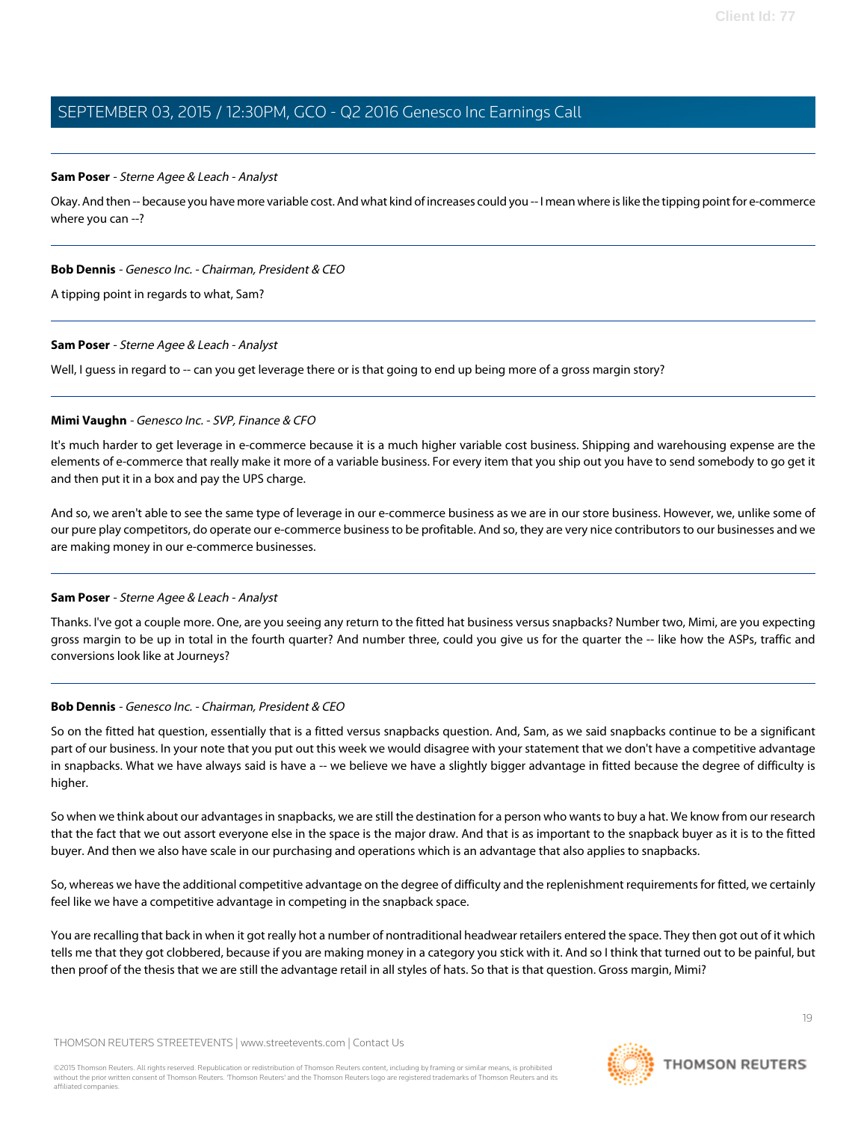#### **Sam Poser** - Sterne Agee & Leach - Analyst

Okay. And then -- because you have more variable cost. And what kind of increases could you -- I mean where is like the tipping point for e-commerce where you can --?

#### **Bob Dennis** - Genesco Inc. - Chairman, President & CEO

A tipping point in regards to what, Sam?

#### **Sam Poser** - Sterne Agee & Leach - Analyst

Well, I guess in regard to -- can you get leverage there or is that going to end up being more of a gross margin story?

#### **Mimi Vaughn** - Genesco Inc. - SVP, Finance & CFO

It's much harder to get leverage in e-commerce because it is a much higher variable cost business. Shipping and warehousing expense are the elements of e-commerce that really make it more of a variable business. For every item that you ship out you have to send somebody to go get it and then put it in a box and pay the UPS charge.

And so, we aren't able to see the same type of leverage in our e-commerce business as we are in our store business. However, we, unlike some of our pure play competitors, do operate our e-commerce business to be profitable. And so, they are very nice contributors to our businesses and we are making money in our e-commerce businesses.

#### **Sam Poser** - Sterne Agee & Leach - Analyst

Thanks. I've got a couple more. One, are you seeing any return to the fitted hat business versus snapbacks? Number two, Mimi, are you expecting gross margin to be up in total in the fourth quarter? And number three, could you give us for the quarter the -- like how the ASPs, traffic and conversions look like at Journeys?

#### **Bob Dennis** - Genesco Inc. - Chairman, President & CEO

So on the fitted hat question, essentially that is a fitted versus snapbacks question. And, Sam, as we said snapbacks continue to be a significant part of our business. In your note that you put out this week we would disagree with your statement that we don't have a competitive advantage in snapbacks. What we have always said is have a -- we believe we have a slightly bigger advantage in fitted because the degree of difficulty is higher.

So when we think about our advantages in snapbacks, we are still the destination for a person who wants to buy a hat. We know from our research that the fact that we out assort everyone else in the space is the major draw. And that is as important to the snapback buyer as it is to the fitted buyer. And then we also have scale in our purchasing and operations which is an advantage that also applies to snapbacks.

So, whereas we have the additional competitive advantage on the degree of difficulty and the replenishment requirements for fitted, we certainly feel like we have a competitive advantage in competing in the snapback space.

You are recalling that back in when it got really hot a number of nontraditional headwear retailers entered the space. They then got out of it which tells me that they got clobbered, because if you are making money in a category you stick with it. And so I think that turned out to be painful, but then proof of the thesis that we are still the advantage retail in all styles of hats. So that is that question. Gross margin, Mimi?



19